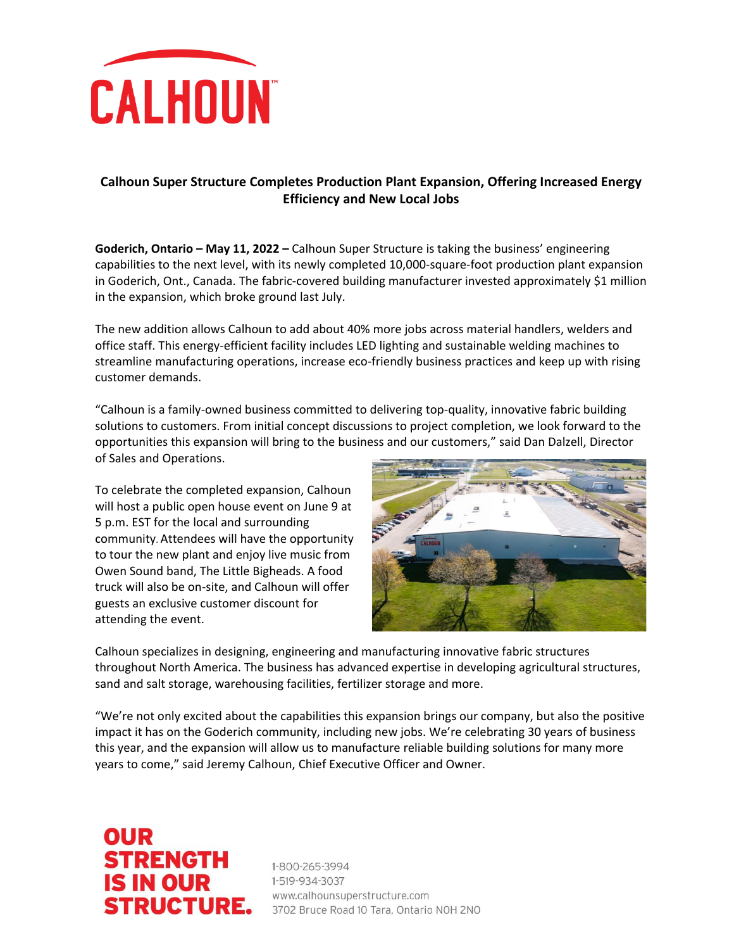

## **Calhoun Super Structure Completes Production Plant Expansion, Offering Increased Energy Efficiency and New Local Jobs**

**Goderich, Ontario – May 11, 2022 –** Calhoun Super Structure is taking the business' engineering capabilities to the next level, with its newly completed 10,000-square-foot production plant expansion in Goderich, Ont., Canada. The fabric-covered building manufacturer invested approximately \$1 million in the expansion, which broke ground last July.

The new addition allows Calhoun to add about 40% more jobs across material handlers, welders and office staff. This energy-efficient facility includes LED lighting and sustainable welding machines to streamline manufacturing operations, increase eco-friendly business practices and keep up with rising customer demands.

"Calhoun is a family-owned business committed to delivering top-quality, innovative fabric building solutions to customers. From initial concept discussions to project completion, we look forward to the opportunities this expansion will bring to the business and our customers," said Dan Dalzell, Director of Sales and Operations.

To celebrate the completed expansion, Calhoun will host a public open house event on June 9 at 5 p.m. EST for the local and surrounding community. Attendees will have the opportunity to tour the new plant and enjoy live music from Owen Sound band, The Little Bigheads. A food truck will also be on-site, and Calhoun will offer guests an exclusive customer discount for attending the event.



Calhoun specializes in designing, engineering and manufacturing innovative fabric structures throughout North America. The business has advanced expertise in developing agricultural structures, sand and salt storage, warehousing facilities, fertilizer storage and more.

"We're not only excited about the capabilities this expansion brings our company, but also the positive impact it has on the Goderich community, including new jobs. We're celebrating 30 years of business this year, and the expansion will allow us to manufacture reliable building solutions for many more years to come," said Jeremy Calhoun, Chief Executive Officer and Owner.

## **OUR** STRENGTH<br>IS IN OUR<br>STDUCTUDE **STRENGTH**

**STRUCTURE.** 3702 Bruce Road 10 Tara, Ontario NOH 2NO